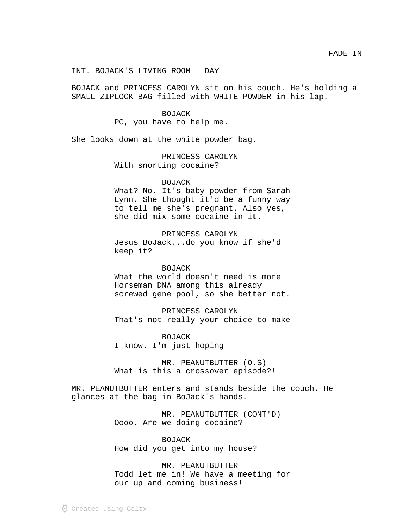INT. BOJACK'S LIVING ROOM - DAY

BOJACK and PRINCESS CAROLYN sit on his couch. He's holding a SMALL ZIPLOCK BAG filled with WHITE POWDER in his lap.

# BOJACK

PC, you have to help me.

She looks down at the white powder bag.

PRINCESS CAROLYN With snorting cocaine?

## BOJACK

What? No. It's baby powder from Sarah Lynn. She thought it'd be a funny way to tell me she's pregnant. Also yes, she did mix some cocaine in it.

PRINCESS CAROLYN Jesus BoJack...do you know if she'd keep it?

#### BOJACK

What the world doesn't need is more Horseman DNA among this already screwed gene pool, so she better not.

PRINCESS CAROLYN That's not really your choice to make-

**BOJACK** I know. I'm just hoping-

MR. PEANUTBUTTER (O.S) What is this a crossover episode?!

MR. PEANUTBUTTER enters and stands beside the couch. He glances at the bag in BoJack's hands.

> MR. PEANUTBUTTER (CONT'D) Oooo. Are we doing cocaine?

BOJACK How did you get into my house?

MR. PEANUTBUTTER Todd let me in! We have a meeting for our up and coming business!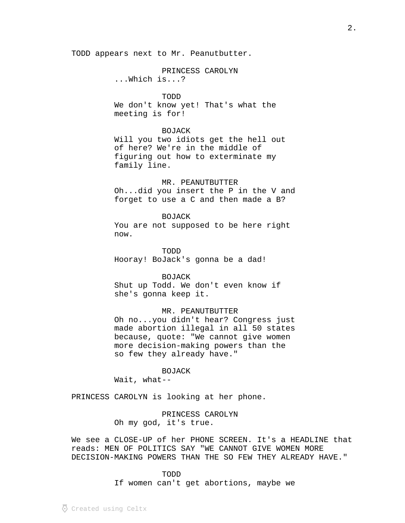TODD appears next to Mr. Peanutbutter.

## PRINCESS CAROLYN

...Which is...?

## TODD

We don't know yet! That's what the meeting is for!

## BOJACK

Will you two idiots get the hell out of here? We're in the middle of figuring out how to exterminate my family line.

#### MR. PEANUTBUTTER

Oh...did you insert the P in the V and forget to use a C and then made a B?

#### BOJACK

You are not supposed to be here right now.

TODD Hooray! BoJack's gonna be a dad!

BOJACK Shut up Todd. We don't even know if she's gonna keep it.

## MR. PEANUTBUTTER

Oh no...you didn't hear? Congress just made abortion illegal in all 50 states because, quote: "We cannot give women more decision-making powers than the so few they already have."

## BOJACK

Wait, what--

PRINCESS CAROLYN is looking at her phone.

## PRINCESS CAROLYN Oh my god, it's true.

We see a CLOSE-UP of her PHONE SCREEN. It's a HEADLINE that reads: MEN OF POLITICS SAY "WE CANNOT GIVE WOMEN MORE DECISION-MAKING POWERS THAN THE SO FEW THEY ALREADY HAVE."

> TODD If women can't get abortions, maybe we